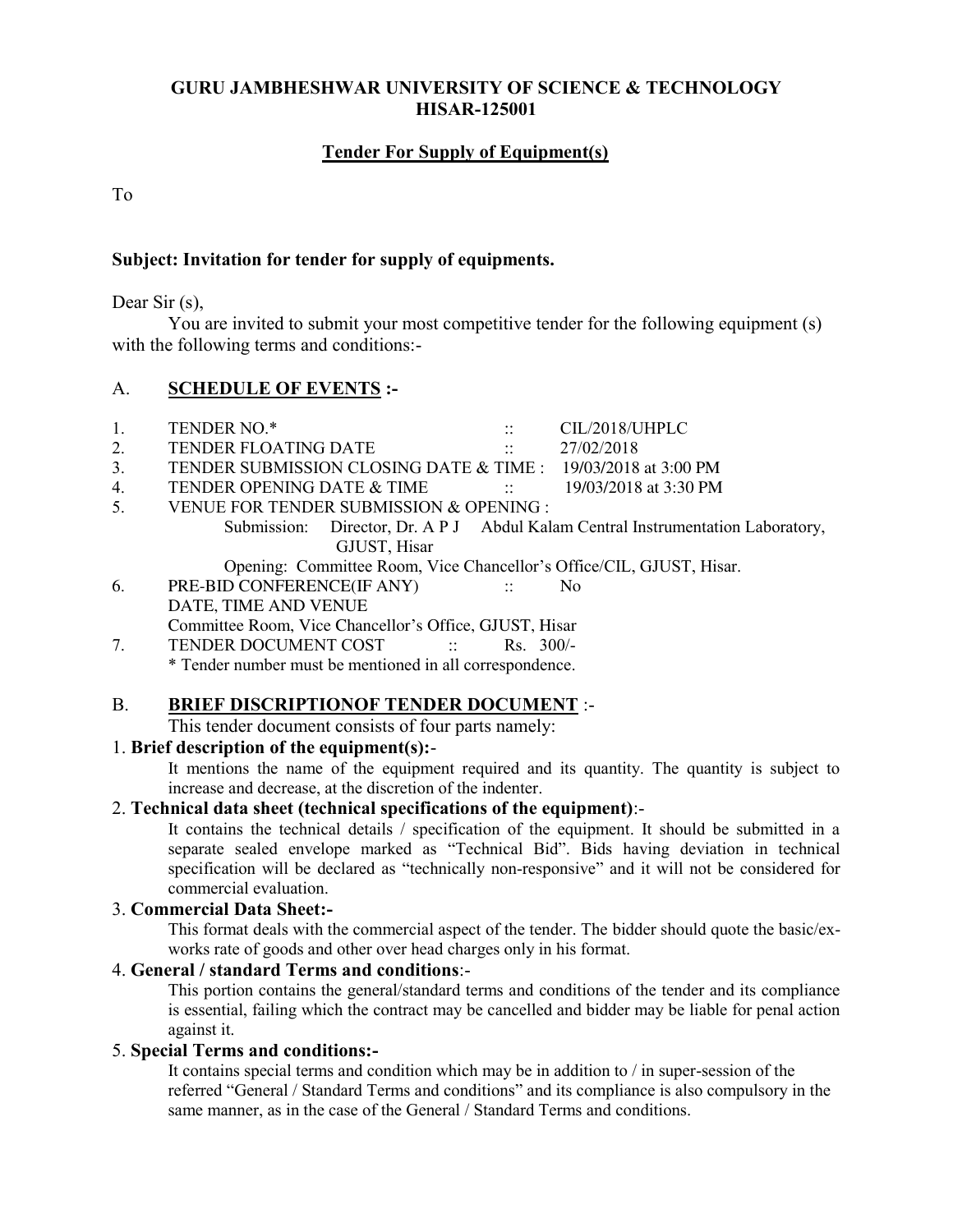### **GURU JAMBHESHWAR UNIVERSITY OF SCIENCE & TECHNOLOGY HISAR-125001**

# **Tender For Supply of Equipment(s)**

To

### **Subject: Invitation for tender for supply of equipments.**

Dear Sir (s),

 You are invited to submit your most competitive tender for the following equipment (s) with the following terms and conditions:-

# A. **SCHEDULE OF EVENTS :-**

| 1. | TENDER NO.*                                                          | $\ddotsc$                  | CIL/2018/UHPLC                                                                  |
|----|----------------------------------------------------------------------|----------------------------|---------------------------------------------------------------------------------|
| 2. | TENDER FLOATING DATE                                                 | $\frac{1}{2}$              | 27/02/2018                                                                      |
| 3. | TENDER SUBMISSION CLOSING DATE & TIME : 19/03/2018 at 3:00 PM        |                            |                                                                                 |
| 4. | TENDER OPENING DATE & TIME                                           | $\sim$ 11 $\sim$ 10 $\sim$ | 19/03/2018 at 3:30 PM                                                           |
| 5. | VENUE FOR TENDER SUBMISSION & OPENING :                              |                            |                                                                                 |
|    |                                                                      |                            | Submission: Director, Dr. A P J Abdul Kalam Central Instrumentation Laboratory, |
|    | GJUST, Hisar                                                         |                            |                                                                                 |
|    | Opening: Committee Room, Vice Chancellor's Office/CIL, GJUST, Hisar. |                            |                                                                                 |
| 6. | PRE-BID CONFERENCE(IF ANY)                                           | $\sim 1000$                | N <sub>0</sub>                                                                  |
|    | DATE, TIME AND VENUE                                                 |                            |                                                                                 |
|    | Committee Room, Vice Chancellor's Office, GJUST, Hisar               |                            |                                                                                 |
|    | TENDER DOCUMENT COST<br>$\sim 11\%$                                  | $Rs. 300/-$                |                                                                                 |

\* Tender number must be mentioned in all correspondence.

### B. **BRIEF DISCRIPTIONOF TENDER DOCUMENT** :-

This tender document consists of four parts namely:

### 1. **Brief description of the equipment(s):**-

It mentions the name of the equipment required and its quantity. The quantity is subject to increase and decrease, at the discretion of the indenter.

## 2. **Technical data sheet (technical specifications of the equipment)**:-

It contains the technical details / specification of the equipment. It should be submitted in a separate sealed envelope marked as "Technical Bid". Bids having deviation in technical specification will be declared as "technically non-responsive" and it will not be considered for commercial evaluation.

### 3. **Commercial Data Sheet:-**

This format deals with the commercial aspect of the tender. The bidder should quote the basic/exworks rate of goods and other over head charges only in his format.

### 4. **General / standard Terms and conditions**:-

This portion contains the general/standard terms and conditions of the tender and its compliance is essential, failing which the contract may be cancelled and bidder may be liable for penal action against it.

#### 5. **Special Terms and conditions:-**

It contains special terms and condition which may be in addition to / in super-session of the referred "General / Standard Terms and conditions" and its compliance is also compulsory in the same manner, as in the case of the General / Standard Terms and conditions.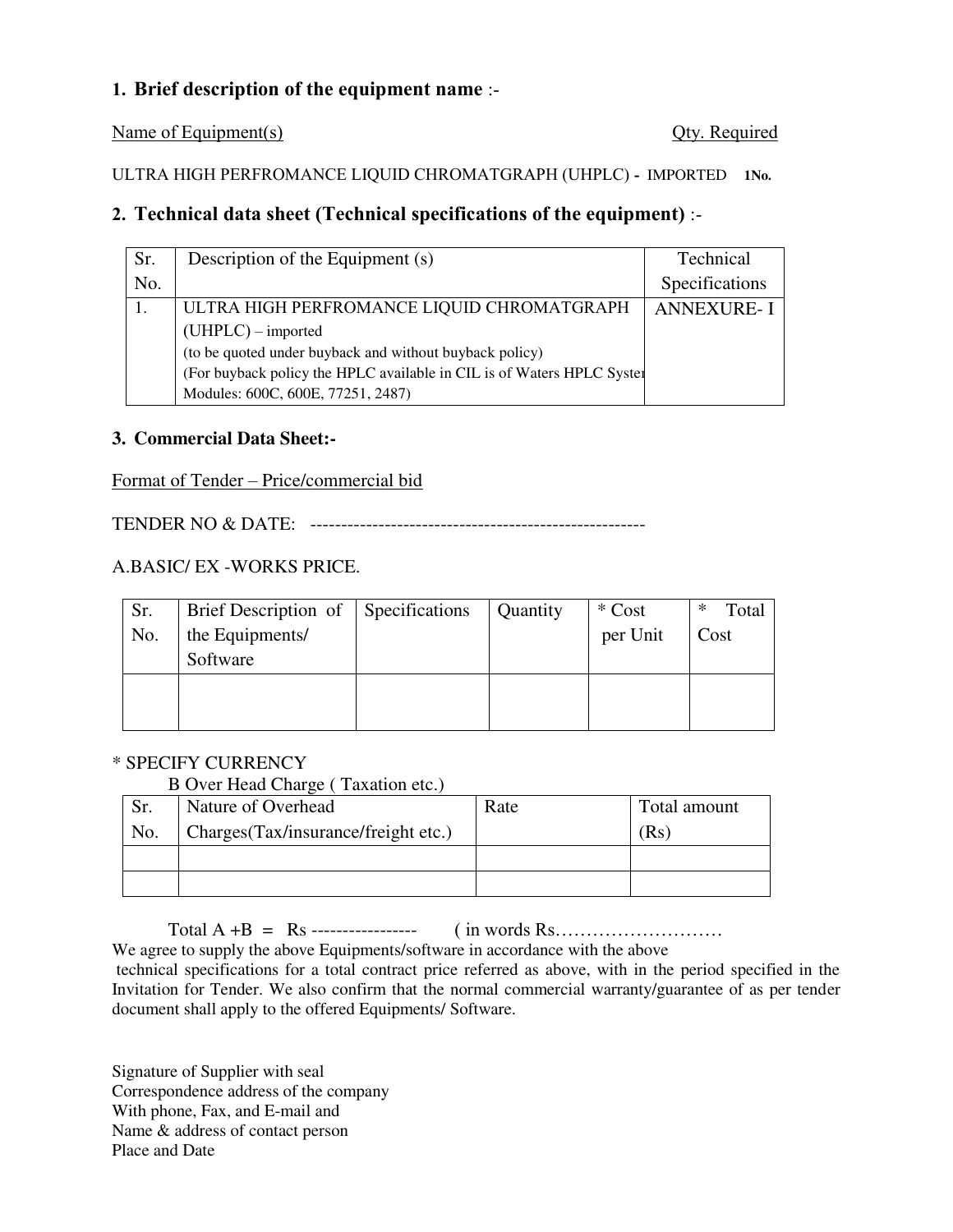# **1. Brief description of the equipment name** :-

Name of Equipment(s) Qty. Required

ULTRA HIGH PERFROMANCE LIQUID CHROMATGRAPH (UHPLC) **-** IMPORTED **1No.**

# **2. Technical data sheet (Technical specifications of the equipment)** :-

| Sr. | Description of the Equipment (s)                                       | Technical         |
|-----|------------------------------------------------------------------------|-------------------|
| No. |                                                                        | Specifications    |
|     | ULTRA HIGH PERFROMANCE LIQUID CHROMATGRAPH                             | <b>ANNEXURE-I</b> |
|     | $(UHPLC)$ – imported                                                   |                   |
|     | (to be quoted under buyback and without buyback policy)                |                   |
|     | (For buyback policy the HPLC available in CIL is of Waters HPLC System |                   |
|     | Modules: 600C, 600E, 77251, 2487)                                      |                   |

# **3. Commercial Data Sheet:-**

# Format of Tender – Price/commercial bid

TENDER NO & DATE: ------------------------------------------------------

# A.BASIC/ EX -WORKS PRICE.

| Sr. | Brief Description of Specifications | Quantity | * Cost   | Total<br>∗ |
|-----|-------------------------------------|----------|----------|------------|
| No. | the Equipments/                     |          | per Unit | Cost       |
|     | Software                            |          |          |            |
|     |                                     |          |          |            |
|     |                                     |          |          |            |

# \* SPECIFY CURRENCY

### B Over Head Charge ( Taxation etc.)

| Sr. | Nature of Overhead                  | Rate | Total amount |
|-----|-------------------------------------|------|--------------|
| No. | Charges(Tax/insurance/freight etc.) |      | (Rs)         |
|     |                                     |      |              |
|     |                                     |      |              |

Total A +B = Rs ----------------- ( in words Rs……………………… We agree to supply the above Equipments/software in accordance with the above

 technical specifications for a total contract price referred as above, with in the period specified in the Invitation for Tender. We also confirm that the normal commercial warranty/guarantee of as per tender document shall apply to the offered Equipments/ Software.

Signature of Supplier with seal Correspondence address of the company With phone, Fax, and E-mail and Name & address of contact person Place and Date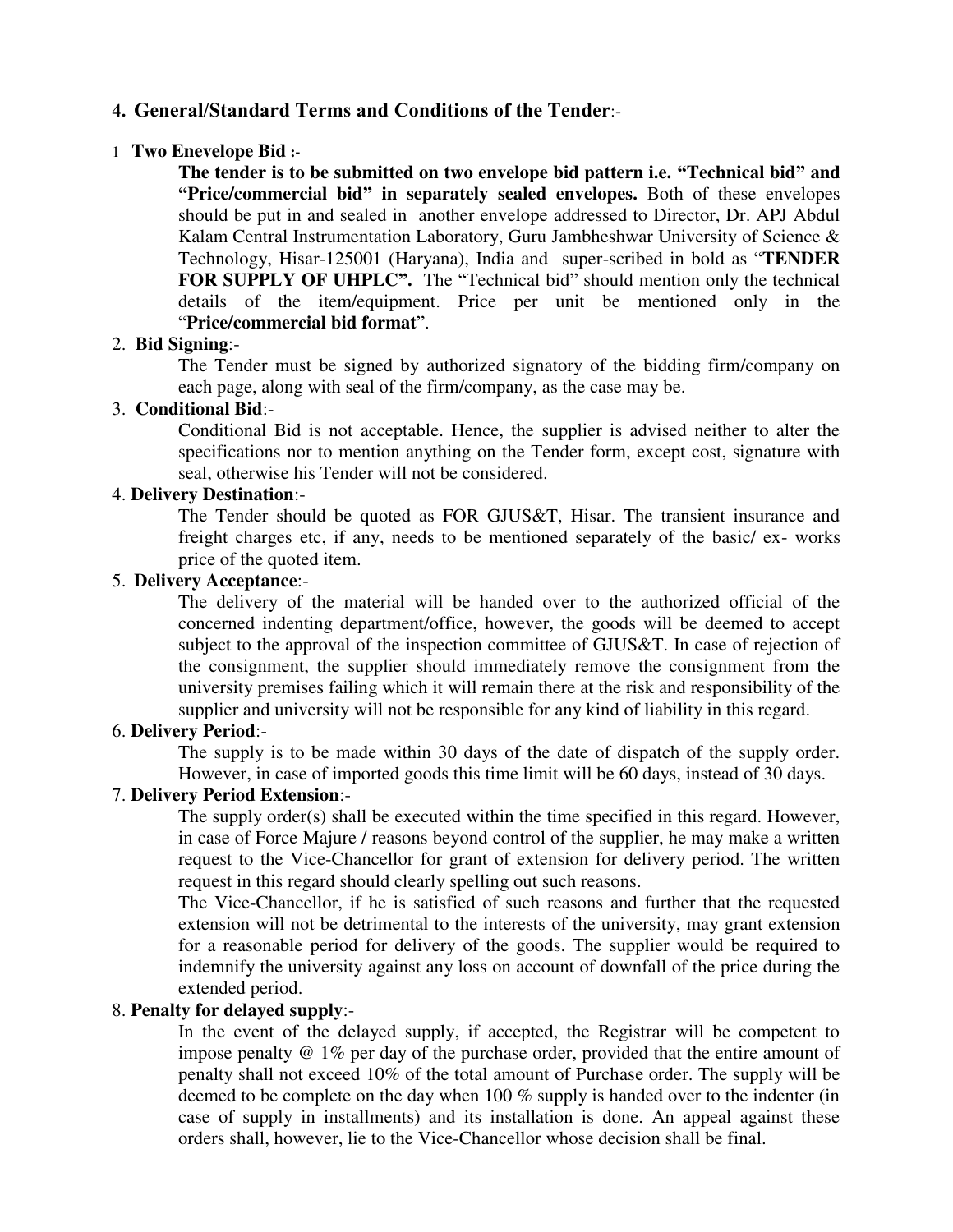# **4. General/Standard Terms and Conditions of the Tender**:-

### 1 **Two Enevelope Bid :-**

**The tender is to be submitted on two envelope bid pattern i.e. "Technical bid" and "Price/commercial bid" in separately sealed envelopes.** Both of these envelopes should be put in and sealed in another envelope addressed to Director, Dr. APJ Abdul Kalam Central Instrumentation Laboratory, Guru Jambheshwar University of Science & Technology, Hisar-125001 (Haryana), India and super-scribed in bold as "**TENDER FOR SUPPLY OF UHPLC".** The "Technical bid" should mention only the technical details of the item/equipment. Price per unit be mentioned only in the "**Price/commercial bid format**".

### 2. **Bid Signing**:-

The Tender must be signed by authorized signatory of the bidding firm/company on each page, along with seal of the firm/company, as the case may be.

# 3. **Conditional Bid**:-

Conditional Bid is not acceptable. Hence, the supplier is advised neither to alter the specifications nor to mention anything on the Tender form, except cost, signature with seal, otherwise his Tender will not be considered.

### 4. **Delivery Destination**:-

The Tender should be quoted as FOR GJUS&T, Hisar. The transient insurance and freight charges etc, if any, needs to be mentioned separately of the basic/ ex- works price of the quoted item.

## 5. **Delivery Acceptance**:-

The delivery of the material will be handed over to the authorized official of the concerned indenting department/office, however, the goods will be deemed to accept subject to the approval of the inspection committee of GJUS&T. In case of rejection of the consignment, the supplier should immediately remove the consignment from the university premises failing which it will remain there at the risk and responsibility of the supplier and university will not be responsible for any kind of liability in this regard.

## 6. **Delivery Period**:-

The supply is to be made within 30 days of the date of dispatch of the supply order. However, in case of imported goods this time limit will be 60 days, instead of 30 days.

# 7. **Delivery Period Extension**:-

The supply order(s) shall be executed within the time specified in this regard. However, in case of Force Majure / reasons beyond control of the supplier, he may make a written request to the Vice-Chancellor for grant of extension for delivery period. The written request in this regard should clearly spelling out such reasons.

The Vice-Chancellor, if he is satisfied of such reasons and further that the requested extension will not be detrimental to the interests of the university, may grant extension for a reasonable period for delivery of the goods. The supplier would be required to indemnify the university against any loss on account of downfall of the price during the extended period.

# 8. **Penalty for delayed supply**:-

In the event of the delayed supply, if accepted, the Registrar will be competent to impose penalty @ 1% per day of the purchase order, provided that the entire amount of penalty shall not exceed 10% of the total amount of Purchase order. The supply will be deemed to be complete on the day when 100 % supply is handed over to the indenter (in case of supply in installments) and its installation is done. An appeal against these orders shall, however, lie to the Vice-Chancellor whose decision shall be final.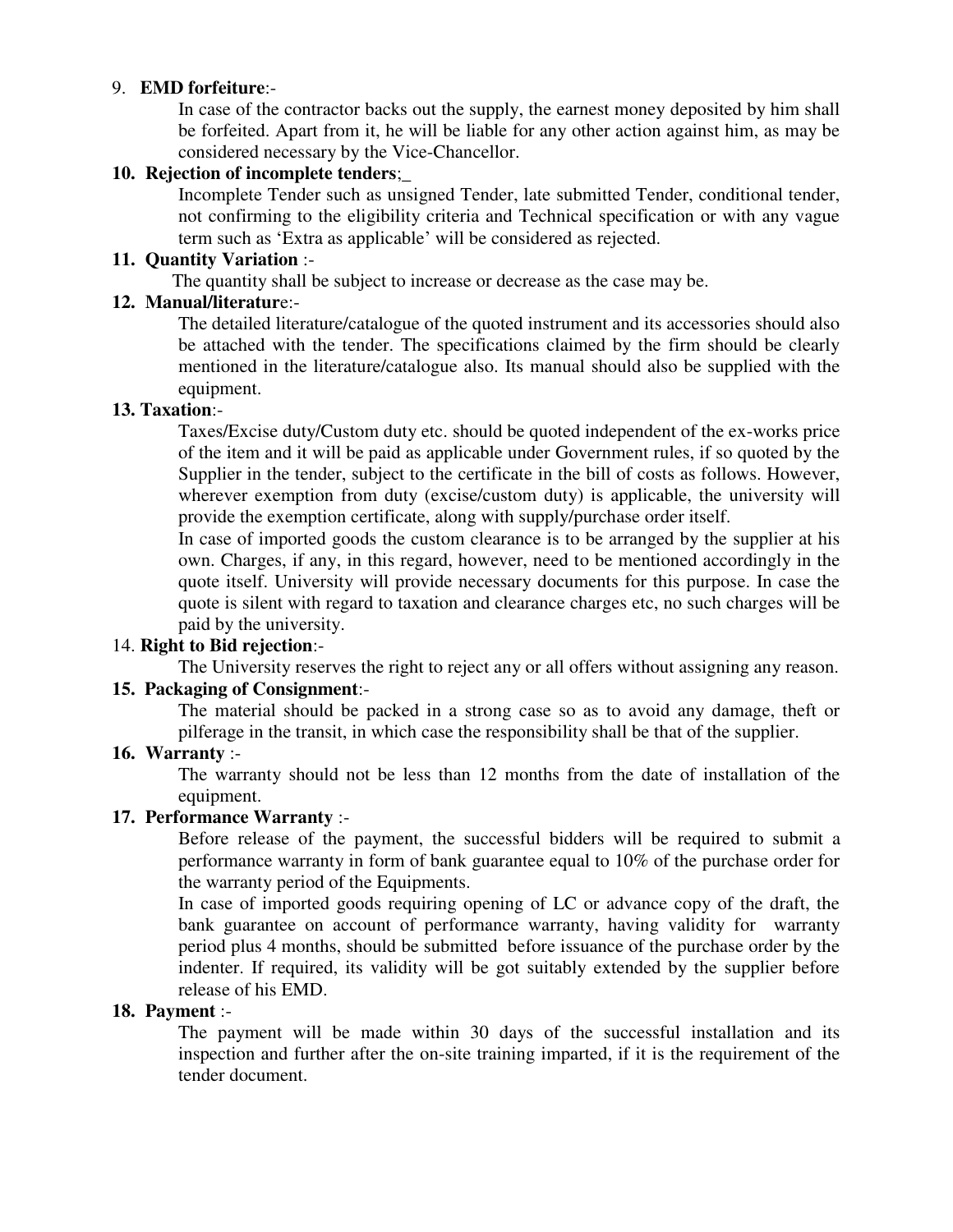# 9. **EMD forfeiture**:-

In case of the contractor backs out the supply, the earnest money deposited by him shall be forfeited. Apart from it, he will be liable for any other action against him, as may be considered necessary by the Vice-Chancellor.

### **10. Rejection of incomplete tenders**;\_

Incomplete Tender such as unsigned Tender, late submitted Tender, conditional tender, not confirming to the eligibility criteria and Technical specification or with any vague term such as 'Extra as applicable' will be considered as rejected.

### **11. Quantity Variation** :-

The quantity shall be subject to increase or decrease as the case may be.

### **12. Manual/literatur**e:-

The detailed literature/catalogue of the quoted instrument and its accessories should also be attached with the tender. The specifications claimed by the firm should be clearly mentioned in the literature/catalogue also. Its manual should also be supplied with the equipment.

# **13. Taxation**:-

Taxes/Excise duty/Custom duty etc. should be quoted independent of the ex-works price of the item and it will be paid as applicable under Government rules, if so quoted by the Supplier in the tender, subject to the certificate in the bill of costs as follows. However, wherever exemption from duty (excise/custom duty) is applicable, the university will provide the exemption certificate, along with supply/purchase order itself.

In case of imported goods the custom clearance is to be arranged by the supplier at his own. Charges, if any, in this regard, however, need to be mentioned accordingly in the quote itself. University will provide necessary documents for this purpose. In case the quote is silent with regard to taxation and clearance charges etc, no such charges will be paid by the university.

# 14. **Right to Bid rejection**:-

The University reserves the right to reject any or all offers without assigning any reason.

# **15. Packaging of Consignment**:-

The material should be packed in a strong case so as to avoid any damage, theft or pilferage in the transit, in which case the responsibility shall be that of the supplier.

### **16. Warranty** :-

The warranty should not be less than 12 months from the date of installation of the equipment.

### **17. Performance Warranty** :-

Before release of the payment, the successful bidders will be required to submit a performance warranty in form of bank guarantee equal to 10% of the purchase order for the warranty period of the Equipments.

In case of imported goods requiring opening of LC or advance copy of the draft, the bank guarantee on account of performance warranty, having validity for warranty period plus 4 months, should be submitted before issuance of the purchase order by the indenter. If required, its validity will be got suitably extended by the supplier before release of his EMD.

# **18. Payment** :-

The payment will be made within 30 days of the successful installation and its inspection and further after the on-site training imparted, if it is the requirement of the tender document.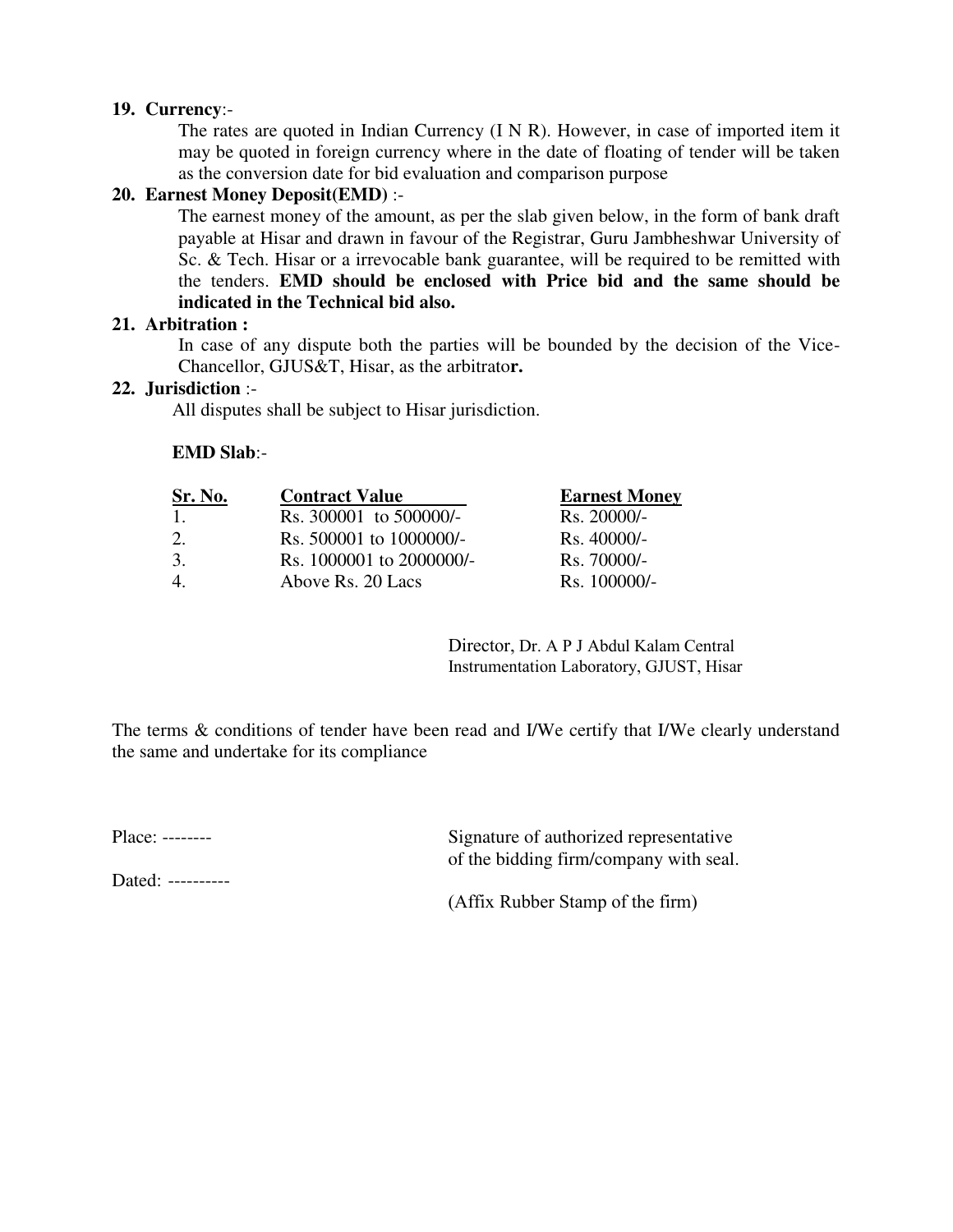### **19. Currency**:-

The rates are quoted in Indian Currency (I N R). However, in case of imported item it may be quoted in foreign currency where in the date of floating of tender will be taken as the conversion date for bid evaluation and comparison purpose

### **20. Earnest Money Deposit(EMD)** :-

The earnest money of the amount, as per the slab given below, in the form of bank draft payable at Hisar and drawn in favour of the Registrar, Guru Jambheshwar University of Sc. & Tech. Hisar or a irrevocable bank guarantee, will be required to be remitted with the tenders. **EMD should be enclosed with Price bid and the same should be indicated in the Technical bid also.** 

### **21. Arbitration :**

In case of any dispute both the parties will be bounded by the decision of the Vice-Chancellor, GJUS&T, Hisar, as the arbitrato**r.**

### **22. Jurisdiction** :-

All disputes shall be subject to Hisar jurisdiction.

### **EMD Slab**:-

| Sr. No.          | <b>Contract Value</b>    | <b>Earnest Money</b> |
|------------------|--------------------------|----------------------|
| $\overline{1}$ . | Rs. 300001 to 500000/-   | Rs. 20000/-          |
| 2.               | Rs. 500001 to 1000000/-  | $Rs.40000/-$         |
| 3.               | Rs. 1000001 to 2000000/- | $Rs.70000/-$         |
| $\overline{4}$   | Above Rs. 20 Lacs        | Rs. 100000/-         |

Director, Dr. A P J Abdul Kalam Central Instrumentation Laboratory, GJUST, Hisar

The terms & conditions of tender have been read and I/We certify that I/We clearly understand the same and undertake for its compliance

Place: -------- Signature of authorized representative of the bidding firm/company with seal.

Dated: ----------

(Affix Rubber Stamp of the firm)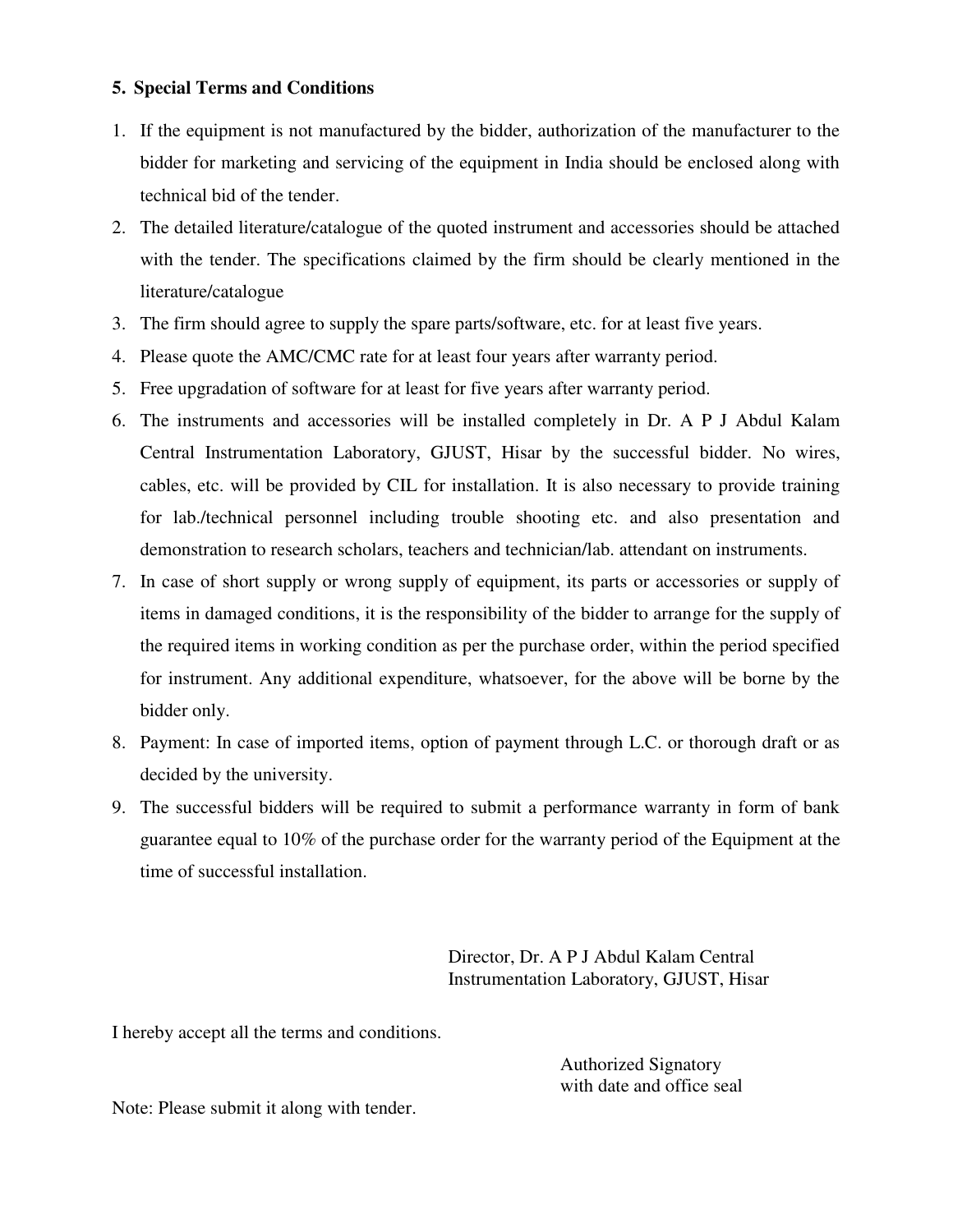### **5. Special Terms and Conditions**

- 1. If the equipment is not manufactured by the bidder, authorization of the manufacturer to the bidder for marketing and servicing of the equipment in India should be enclosed along with technical bid of the tender.
- 2. The detailed literature/catalogue of the quoted instrument and accessories should be attached with the tender. The specifications claimed by the firm should be clearly mentioned in the literature/catalogue
- 3. The firm should agree to supply the spare parts/software, etc. for at least five years.
- 4. Please quote the AMC/CMC rate for at least four years after warranty period.
- 5. Free upgradation of software for at least for five years after warranty period.
- 6. The instruments and accessories will be installed completely in Dr. A P J Abdul Kalam Central Instrumentation Laboratory, GJUST, Hisar by the successful bidder. No wires, cables, etc. will be provided by CIL for installation. It is also necessary to provide training for lab./technical personnel including trouble shooting etc. and also presentation and demonstration to research scholars, teachers and technician/lab. attendant on instruments.
- 7. In case of short supply or wrong supply of equipment, its parts or accessories or supply of items in damaged conditions, it is the responsibility of the bidder to arrange for the supply of the required items in working condition as per the purchase order, within the period specified for instrument. Any additional expenditure, whatsoever, for the above will be borne by the bidder only.
- 8. Payment: In case of imported items, option of payment through L.C. or thorough draft or as decided by the university.
- 9. The successful bidders will be required to submit a performance warranty in form of bank guarantee equal to 10% of the purchase order for the warranty period of the Equipment at the time of successful installation.

Director, Dr. A P J Abdul Kalam Central Instrumentation Laboratory, GJUST, Hisar

I hereby accept all the terms and conditions.

 Authorized Signatory with date and office seal

Note: Please submit it along with tender.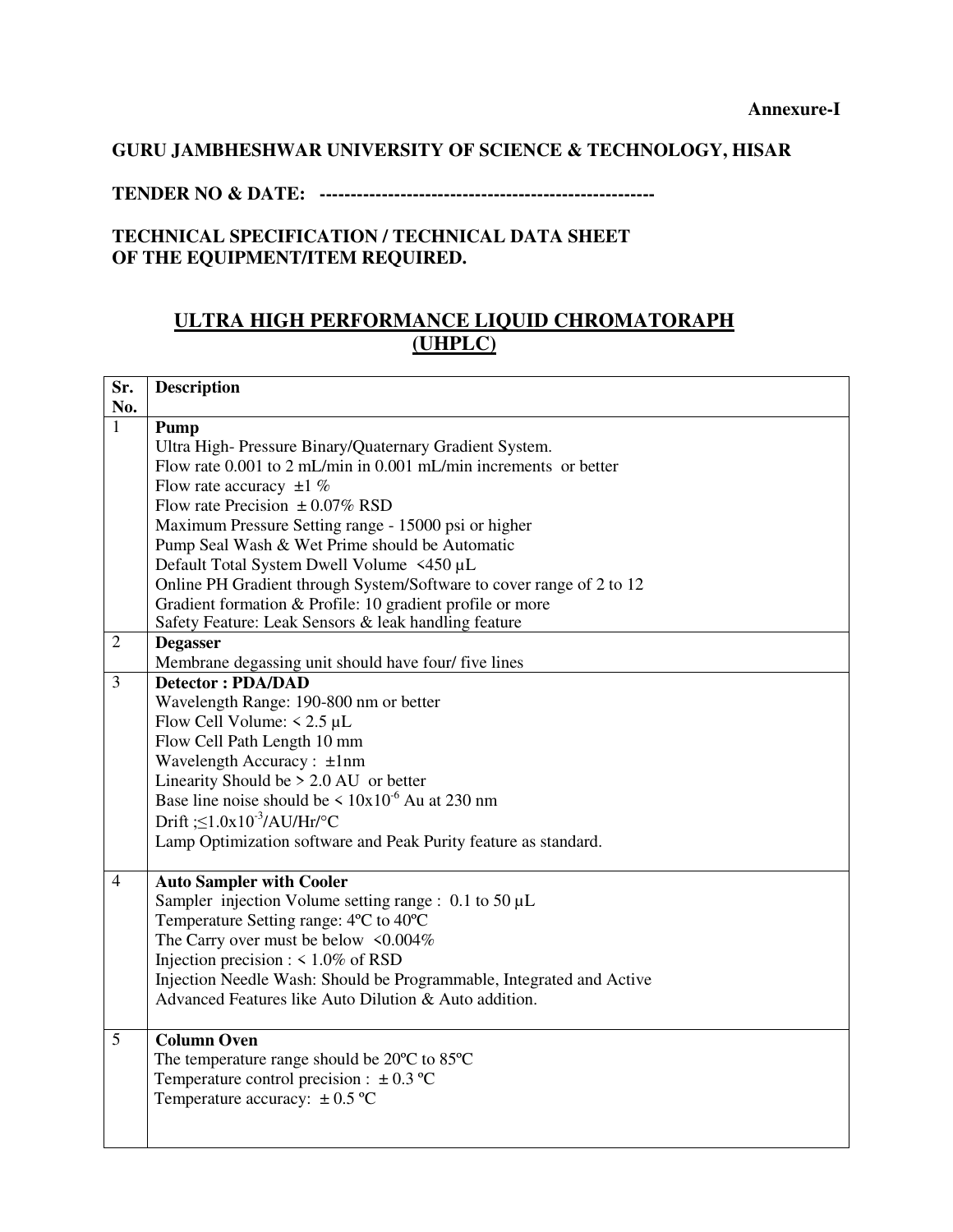# **GURU JAMBHESHWAR UNIVERSITY OF SCIENCE & TECHNOLOGY, HISAR**

### **TENDER NO & DATE: ------------------------------------------------------**

# **TECHNICAL SPECIFICATION / TECHNICAL DATA SHEET OF THE EQUIPMENT/ITEM REQUIRED.**

# **ULTRA HIGH PERFORMANCE LIQUID CHROMATORAPH (UHPLC)**

| Sr.            | <b>Description</b>                                                   |  |  |
|----------------|----------------------------------------------------------------------|--|--|
| No.            |                                                                      |  |  |
| $\mathbf{1}$   | Pump                                                                 |  |  |
|                | Ultra High-Pressure Binary/Quaternary Gradient System.               |  |  |
|                | Flow rate 0.001 to 2 mL/min in 0.001 mL/min increments or better     |  |  |
|                | Flow rate accuracy $\pm 1$ %                                         |  |  |
|                | Flow rate Precision $\pm 0.07\%$ RSD                                 |  |  |
|                | Maximum Pressure Setting range - 15000 psi or higher                 |  |  |
|                | Pump Seal Wash & Wet Prime should be Automatic                       |  |  |
|                | Default Total System Dwell Volume <450 µL                            |  |  |
|                | Online PH Gradient through System/Software to cover range of 2 to 12 |  |  |
|                | Gradient formation & Profile: 10 gradient profile or more            |  |  |
|                | Safety Feature: Leak Sensors & leak handling feature                 |  |  |
| $\overline{2}$ | <b>Degasser</b>                                                      |  |  |
|                | Membrane degassing unit should have four/ five lines                 |  |  |
| $\overline{3}$ | <b>Detector: PDA/DAD</b>                                             |  |  |
|                | Wavelength Range: 190-800 nm or better                               |  |  |
|                | Flow Cell Volume: $\leq 2.5$ µL                                      |  |  |
|                | Flow Cell Path Length 10 mm                                          |  |  |
|                | Wavelength Accuracy: ±1nm                                            |  |  |
|                | Linearity Should be $> 2.0$ AU or better                             |  |  |
|                | Base line noise should be $\leq 10x10^{-6}$ Au at 230 nm             |  |  |
|                | Drift $\leq 1.0x10^{-3}/AU/Hr^{\circ}C$                              |  |  |
|                | Lamp Optimization software and Peak Purity feature as standard.      |  |  |
|                |                                                                      |  |  |
| $\overline{4}$ | <b>Auto Sampler with Cooler</b>                                      |  |  |
|                | Sampler injection Volume setting range : $0.1$ to $50 \mu L$         |  |  |
|                | Temperature Setting range: 4°C to 40°C                               |  |  |
|                | The Carry over must be below <0.004%                                 |  |  |
|                | Injection precision : $\leq 1.0\%$ of RSD                            |  |  |
|                | Injection Needle Wash: Should be Programmable, Integrated and Active |  |  |
|                | Advanced Features like Auto Dilution & Auto addition.                |  |  |
|                |                                                                      |  |  |
| 5              | <b>Column Oven</b>                                                   |  |  |
|                | The temperature range should be 20°C to 85°C                         |  |  |
|                | Temperature control precision : $\pm 0.3$ °C                         |  |  |
|                | Temperature accuracy: $\pm$ 0.5 °C                                   |  |  |
|                |                                                                      |  |  |
|                |                                                                      |  |  |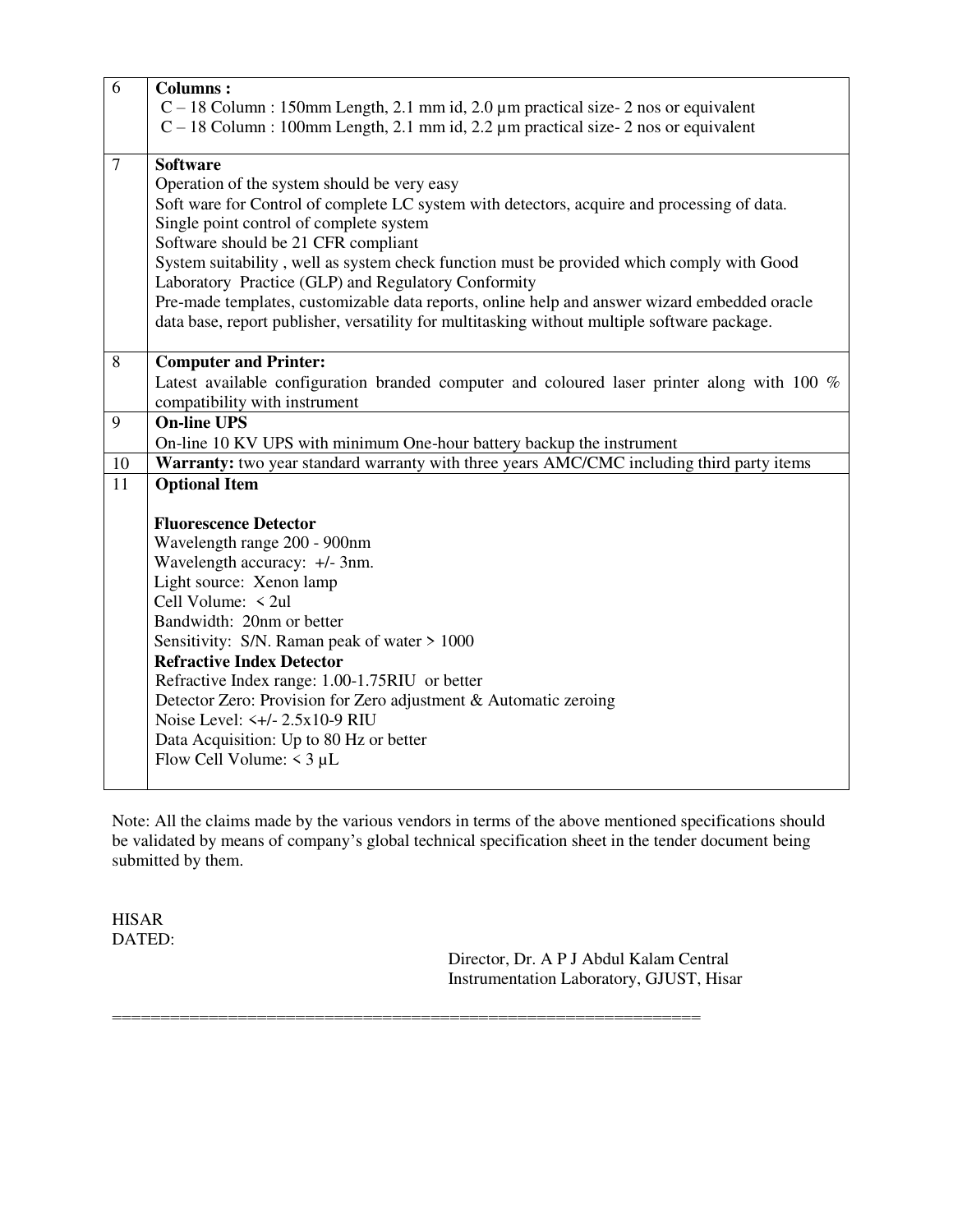| 6               | <b>Columns:</b>                                                                              |  |
|-----------------|----------------------------------------------------------------------------------------------|--|
|                 | $C-18$ Column : 150mm Length, 2.1 mm id, 2.0 µm practical size- 2 nos or equivalent          |  |
|                 | $C-18$ Column : 100mm Length, 2.1 mm id, 2.2 µm practical size- 2 nos or equivalent          |  |
|                 |                                                                                              |  |
| $\overline{7}$  | <b>Software</b>                                                                              |  |
|                 | Operation of the system should be very easy                                                  |  |
|                 | Soft ware for Control of complete LC system with detectors, acquire and processing of data.  |  |
|                 | Single point control of complete system                                                      |  |
|                 | Software should be 21 CFR compliant                                                          |  |
|                 | System suitability, well as system check function must be provided which comply with Good    |  |
|                 | Laboratory Practice (GLP) and Regulatory Conformity                                          |  |
|                 | Pre-made templates, customizable data reports, online help and answer wizard embedded oracle |  |
|                 | data base, report publisher, versatility for multitasking without multiple software package. |  |
|                 |                                                                                              |  |
| 8               | <b>Computer and Printer:</b>                                                                 |  |
|                 | Latest available configuration branded computer and coloured laser printer along with 100 %  |  |
|                 | compatibility with instrument                                                                |  |
| 9               | <b>On-line UPS</b>                                                                           |  |
|                 | On-line 10 KV UPS with minimum One-hour battery backup the instrument                        |  |
| 10              | Warranty: two year standard warranty with three years AMC/CMC including third party items    |  |
| $\overline{11}$ | <b>Optional Item</b>                                                                         |  |
|                 |                                                                                              |  |
|                 | <b>Fluorescence Detector</b>                                                                 |  |
|                 | Wavelength range 200 - 900nm                                                                 |  |
|                 | Wavelength accuracy: +/- 3nm.                                                                |  |
|                 | Light source: Xenon lamp                                                                     |  |
|                 | Cell Volume: < 2ul                                                                           |  |
|                 | Bandwidth: 20nm or better                                                                    |  |
|                 | Sensitivity: S/N. Raman peak of water > 1000                                                 |  |
|                 | <b>Refractive Index Detector</b>                                                             |  |
|                 | Refractive Index range: 1.00-1.75RIU or better                                               |  |
|                 | Detector Zero: Provision for Zero adjustment & Automatic zeroing                             |  |
|                 | Noise Level: <+/- 2.5x10-9 RIU                                                               |  |
|                 | Data Acquisition: Up to 80 Hz or better                                                      |  |
|                 | Flow Cell Volume: $\leq$ 3 µL                                                                |  |
|                 |                                                                                              |  |

Note: All the claims made by the various vendors in terms of the above mentioned specifications should be validated by means of company's global technical specification sheet in the tender document being submitted by them.

=============================================================

HISAR DATED:

> Director, Dr. A P J Abdul Kalam Central Instrumentation Laboratory, GJUST, Hisar